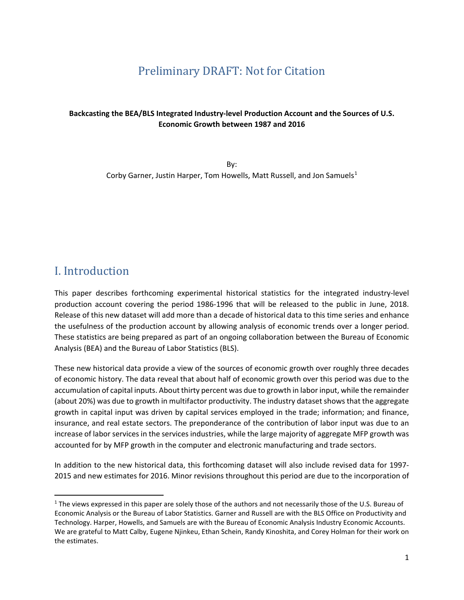## Preliminary DRAFT: Not for Citation

#### **Backcasting the BEA/BLS Integrated Industry-level Production Account and the Sources of U.S. Economic Growth between 1987 and 2016**

By: Corby Garner, Justin Harper, Tom Howells, Matt Russell, and Jon Samuels<sup>[1](#page-0-0)</sup>

## I. Introduction

This paper describes forthcoming experimental historical statistics for the integrated industry-level production account covering the period 1986-1996 that will be released to the public in June, 2018. Release of this new dataset will add more than a decade of historical data to this time series and enhance the usefulness of the production account by allowing analysis of economic trends over a longer period. These statistics are being prepared as part of an ongoing collaboration between the Bureau of Economic Analysis (BEA) and the Bureau of Labor Statistics (BLS).

These new historical data provide a view of the sources of economic growth over roughly three decades of economic history. The data reveal that about half of economic growth over this period was due to the accumulation of capital inputs. About thirty percent was due to growth in labor input, while the remainder (about 20%) was due to growth in multifactor productivity. The industry dataset shows that the aggregate growth in capital input was driven by capital services employed in the trade; information; and finance, insurance, and real estate sectors. The preponderance of the contribution of labor input was due to an increase of labor services in the services industries, while the large majority of aggregate MFP growth was accounted for by MFP growth in the computer and electronic manufacturing and trade sectors.

In addition to the new historical data, this forthcoming dataset will also include revised data for 1997- 2015 and new estimates for 2016. Minor revisions throughout this period are due to the incorporation of

<span id="page-0-0"></span> $1$  The views expressed in this paper are solely those of the authors and not necessarily those of the U.S. Bureau of Economic Analysis or the Bureau of Labor Statistics. Garner and Russell are with the BLS Office on Productivity and Technology. Harper, Howells, and Samuels are with the Bureau of Economic Analysis Industry Economic Accounts. We are grateful to Matt Calby, Eugene Njinkeu, Ethan Schein, Randy Kinoshita, and Corey Holman for their work on the estimates.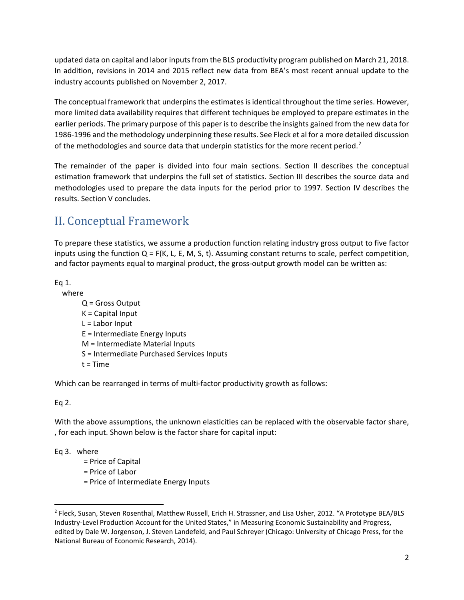updated data on capital and labor inputs from the BLS productivity program published on March 21, 2018. In addition, revisions in 2014 and 2015 reflect new data from BEA's most recent annual update to the industry accounts published on November 2, 2017.

The conceptual framework that underpins the estimates is identical throughout the time series. However, more limited data availability requires that different techniques be employed to prepare estimates in the earlier periods. The primary purpose of this paper is to describe the insights gained from the new data for 1986-1996 and the methodology underpinning these results. See Fleck et al for a more detailed discussion of the methodologies and source data that underpin statistics for the more recent period.<sup>[2](#page-1-0)</sup>

The remainder of the paper is divided into four main sections. Section II describes the conceptual estimation framework that underpins the full set of statistics. Section III describes the source data and methodologies used to prepare the data inputs for the period prior to 1997. Section IV describes the results. Section V concludes.

# II. Conceptual Framework

To prepare these statistics, we assume a production function relating industry gross output to five factor inputs using the function  $Q = F(K, L, E, M, S, t)$ . Assuming constant returns to scale, perfect competition, and factor payments equal to marginal product, the gross-output growth model can be written as:

Eq 1.

 where Q = Gross Output K = Capital Input  $L =$  Labor Input E = Intermediate Energy Inputs M = Intermediate Material Inputs S = Intermediate Purchased Services Inputs  $t = Time$ 

Which can be rearranged in terms of multi-factor productivity growth as follows:

Eq 2.

With the above assumptions, the unknown elasticities can be replaced with the observable factor share, , for each input. Shown below is the factor share for capital input:

Eq 3. where

= Price of Capital

= Price of Labor

= Price of Intermediate Energy Inputs

<span id="page-1-0"></span> <sup>2</sup> Fleck, Susan, Steven Rosenthal, Matthew Russell, Erich H. Strassner, and Lisa Usher, 2012. "A Prototype BEA/BLS Industry-Level Production Account for the United States," in Measuring Economic Sustainability and Progress, edited by Dale W. Jorgenson, J. Steven Landefeld, and Paul Schreyer (Chicago: University of Chicago Press, for the National Bureau of Economic Research, 2014).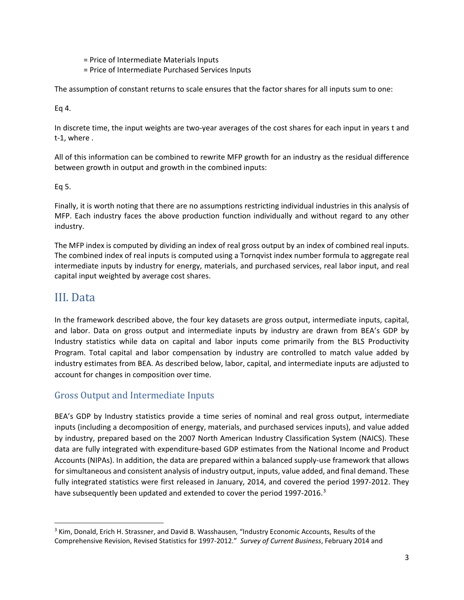= Price of Intermediate Materials Inputs

= Price of Intermediate Purchased Services Inputs

The assumption of constant returns to scale ensures that the factor shares for all inputs sum to one:

Eq 4.

In discrete time, the input weights are two-year averages of the cost shares for each input in years t and t-1, where .

All of this information can be combined to rewrite MFP growth for an industry as the residual difference between growth in output and growth in the combined inputs:

Eq 5.

Finally, it is worth noting that there are no assumptions restricting individual industries in this analysis of MFP. Each industry faces the above production function individually and without regard to any other industry.

The MFP index is computed by dividing an index of real gross output by an index of combined real inputs. The combined index of real inputs is computed using a Tornqvist index number formula to aggregate real intermediate inputs by industry for energy, materials, and purchased services, real labor input, and real capital input weighted by average cost shares.

## III. Data

In the framework described above, the four key datasets are gross output, intermediate inputs, capital, and labor. Data on gross output and intermediate inputs by industry are drawn from BEA's GDP by Industry statistics while data on capital and labor inputs come primarily from the BLS Productivity Program. Total capital and labor compensation by industry are controlled to match value added by industry estimates from BEA. As described below, labor, capital, and intermediate inputs are adjusted to account for changes in composition over time.

### Gross Output and Intermediate Inputs

BEA's GDP by Industry statistics provide a time series of nominal and real gross output, intermediate inputs (including a decomposition of energy, materials, and purchased services inputs), and value added by industry, prepared based on the 2007 North American Industry Classification System (NAICS). These data are fully integrated with expenditure-based GDP estimates from the National Income and Product Accounts (NIPAs). In addition, the data are prepared within a balanced supply-use framework that allows for simultaneous and consistent analysis of industry output, inputs, value added, and final demand. These fully integrated statistics were first released in January, 2014, and covered the period 1997-2012. They have subsequently been updated and extended to cover the period 1997-2016.<sup>[3](#page-2-0)</sup>

<span id="page-2-0"></span><sup>&</sup>lt;sup>3</sup> Kim, Donald, Erich H. Strassner, and David B. Wasshausen, "Industry Economic Accounts, Results of the Comprehensive Revision, Revised Statistics for 1997-2012." *Survey of Current Business*, February 2014 and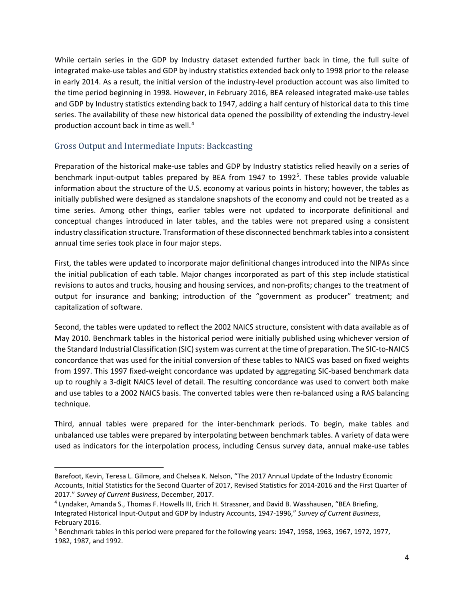While certain series in the GDP by Industry dataset extended further back in time, the full suite of integrated make-use tables and GDP by industry statistics extended back only to 1998 prior to the release in early 2014. As a result, the initial version of the industry-level production account was also limited to the time period beginning in 1998. However, in February 2016, BEA released integrated make-use tables and GDP by Industry statistics extending back to 1947, adding a half century of historical data to this time series. The availability of these new historical data opened the possibility of extending the industry-level production account back in time as well. [4](#page-3-0)

### Gross Output and Intermediate Inputs: Backcasting

 $\overline{\phantom{a}}$ 

Preparation of the historical make-use tables and GDP by Industry statistics relied heavily on a series of benchmark input-output tables prepared by BEA from 1947 to 1992<sup>[5](#page-3-1)</sup>. These tables provide valuable information about the structure of the U.S. economy at various points in history; however, the tables as initially published were designed as standalone snapshots of the economy and could not be treated as a time series. Among other things, earlier tables were not updated to incorporate definitional and conceptual changes introduced in later tables, and the tables were not prepared using a consistent industry classification structure. Transformation of these disconnected benchmark tables into a consistent annual time series took place in four major steps.

First, the tables were updated to incorporate major definitional changes introduced into the NIPAs since the initial publication of each table. Major changes incorporated as part of this step include statistical revisions to autos and trucks, housing and housing services, and non-profits; changes to the treatment of output for insurance and banking; introduction of the "government as producer" treatment; and capitalization of software.

Second, the tables were updated to reflect the 2002 NAICS structure, consistent with data available as of May 2010. Benchmark tables in the historical period were initially published using whichever version of the Standard Industrial Classification (SIC) system was current at the time of preparation. The SIC-to-NAICS concordance that was used for the initial conversion of these tables to NAICS was based on fixed weights from 1997. This 1997 fixed-weight concordance was updated by aggregating SIC-based benchmark data up to roughly a 3-digit NAICS level of detail. The resulting concordance was used to convert both make and use tables to a 2002 NAICS basis. The converted tables were then re-balanced using a RAS balancing technique.

Third, annual tables were prepared for the inter-benchmark periods. To begin, make tables and unbalanced use tables were prepared by interpolating between benchmark tables. A variety of data were used as indicators for the interpolation process, including Census survey data, annual make-use tables

Barefoot, Kevin, Teresa L. Gilmore, and Chelsea K. Nelson, "The 2017 Annual Update of the Industry Economic Accounts, Initial Statistics for the Second Quarter of 2017, Revised Statistics for 2014-2016 and the First Quarter of 2017." *Survey of Current Business*, December, 2017.

<span id="page-3-0"></span><sup>4</sup> Lyndaker, Amanda S., Thomas F. Howells III, Erich H. Strassner, and David B. Wasshausen, "BEA Briefing, Integrated Historical Input-Output and GDP by Industry Accounts, 1947-1996," *Survey of Current Business*, February 2016.

<span id="page-3-1"></span><sup>5</sup> Benchmark tables in this period were prepared for the following years: 1947, 1958, 1963, 1967, 1972, 1977, 1982, 1987, and 1992.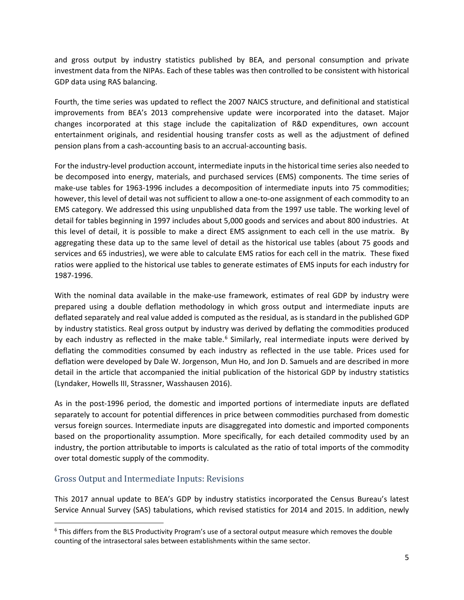and gross output by industry statistics published by BEA, and personal consumption and private investment data from the NIPAs. Each of these tables was then controlled to be consistent with historical GDP data using RAS balancing.

Fourth, the time series was updated to reflect the 2007 NAICS structure, and definitional and statistical improvements from BEA's 2013 comprehensive update were incorporated into the dataset. Major changes incorporated at this stage include the capitalization of R&D expenditures, own account entertainment originals, and residential housing transfer costs as well as the adjustment of defined pension plans from a cash-accounting basis to an accrual-accounting basis.

For the industry-level production account, intermediate inputs in the historical time series also needed to be decomposed into energy, materials, and purchased services (EMS) components. The time series of make-use tables for 1963-1996 includes a decomposition of intermediate inputs into 75 commodities; however, this level of detail was not sufficient to allow a one-to-one assignment of each commodity to an EMS category. We addressed this using unpublished data from the 1997 use table. The working level of detail for tables beginning in 1997 includes about 5,000 goods and services and about 800 industries. At this level of detail, it is possible to make a direct EMS assignment to each cell in the use matrix. By aggregating these data up to the same level of detail as the historical use tables (about 75 goods and services and 65 industries), we were able to calculate EMS ratios for each cell in the matrix. These fixed ratios were applied to the historical use tables to generate estimates of EMS inputs for each industry for 1987-1996.

With the nominal data available in the make-use framework, estimates of real GDP by industry were prepared using a double deflation methodology in which gross output and intermediate inputs are deflated separately and real value added is computed as the residual, as is standard in the published GDP by industry statistics. Real gross output by industry was derived by deflating the commodities produced by each industry as reflected in the make table.<sup>[6](#page-4-0)</sup> Similarly, real intermediate inputs were derived by deflating the commodities consumed by each industry as reflected in the use table. Prices used for deflation were developed by Dale W. Jorgenson, Mun Ho, and Jon D. Samuels and are described in more detail in the article that accompanied the initial publication of the historical GDP by industry statistics (Lyndaker, Howells III, Strassner, Wasshausen 2016).

As in the post-1996 period, the domestic and imported portions of intermediate inputs are deflated separately to account for potential differences in price between commodities purchased from domestic versus foreign sources. Intermediate inputs are disaggregated into domestic and imported components based on the proportionality assumption. More specifically, for each detailed commodity used by an industry, the portion attributable to imports is calculated as the ratio of total imports of the commodity over total domestic supply of the commodity.

#### Gross Output and Intermediate Inputs: Revisions

This 2017 annual update to BEA's GDP by industry statistics incorporated the Census Bureau's latest Service Annual Survey (SAS) tabulations, which revised statistics for 2014 and 2015. In addition, newly

<span id="page-4-0"></span> <sup>6</sup> This differs from the BLS Productivity Program's use of a sectoral output measure which removes the double counting of the intrasectoral sales between establishments within the same sector.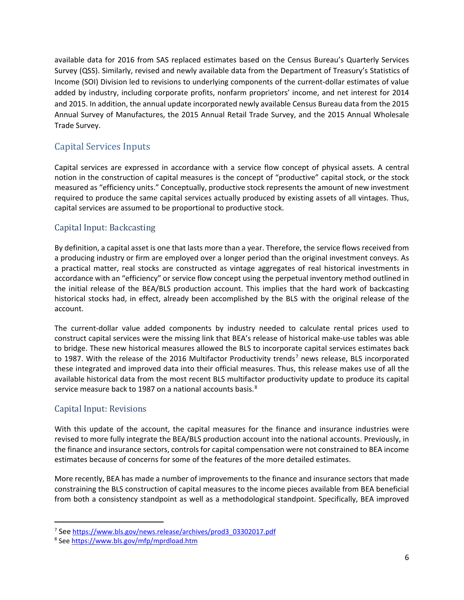available data for 2016 from SAS replaced estimates based on the Census Bureau's Quarterly Services Survey (QSS). Similarly, revised and newly available data from the Department of Treasury's Statistics of Income (SOI) Division led to revisions to underlying components of the current-dollar estimates of value added by industry, including corporate profits, nonfarm proprietors' income, and net interest for 2014 and 2015. In addition, the annual update incorporated newly available Census Bureau data from the 2015 Annual Survey of Manufactures, the 2015 Annual Retail Trade Survey, and the 2015 Annual Wholesale Trade Survey.

## Capital Services Inputs

Capital services are expressed in accordance with a service flow concept of physical assets. A central notion in the construction of capital measures is the concept of "productive" capital stock, or the stock measured as "efficiency units." Conceptually, productive stock represents the amount of new investment required to produce the same capital services actually produced by existing assets of all vintages. Thus, capital services are assumed to be proportional to productive stock.

### Capital Input: Backcasting

By definition, a capital asset is one that lasts more than a year. Therefore, the service flows received from a producing industry or firm are employed over a longer period than the original investment conveys. As a practical matter, real stocks are constructed as vintage aggregates of real historical investments in accordance with an "efficiency" or service flow concept using the perpetual inventory method outlined in the initial release of the BEA/BLS production account. This implies that the hard work of backcasting historical stocks had, in effect, already been accomplished by the BLS with the original release of the account.

The current-dollar value added components by industry needed to calculate rental prices used to construct capital services were the missing link that BEA's release of historical make-use tables was able to bridge. These new historical measures allowed the BLS to incorporate capital services estimates back to 198[7](#page-5-0). With the release of the 2016 Multifactor Productivity trends<sup>7</sup> news release, BLS incorporated these integrated and improved data into their official measures. Thus, this release makes use of all the available historical data from the most recent BLS multifactor productivity update to produce its capital service measure back to 19[8](#page-5-1)7 on a national accounts basis.<sup>8</sup>

### Capital Input: Revisions

With this update of the account, the capital measures for the finance and insurance industries were revised to more fully integrate the BEA/BLS production account into the national accounts. Previously, in the finance and insurance sectors, controls for capital compensation were not constrained to BEA income estimates because of concerns for some of the features of the more detailed estimates.

More recently, BEA has made a number of improvements to the finance and insurance sectors that made constraining the BLS construction of capital measures to the income pieces available from BEA beneficial from both a consistency standpoint as well as a methodological standpoint. Specifically, BEA improved

<span id="page-5-0"></span> <sup>7</sup> See [https://www.bls.gov/news.release/archives/prod3\\_03302017.pdf](https://www.bls.gov/news.release/archives/prod3_03302017.pdf)

<span id="page-5-1"></span><sup>8</sup> Se[e https://www.bls.gov/mfp/mprdload.htm](https://www.bls.gov/mfp/mprdload.htm)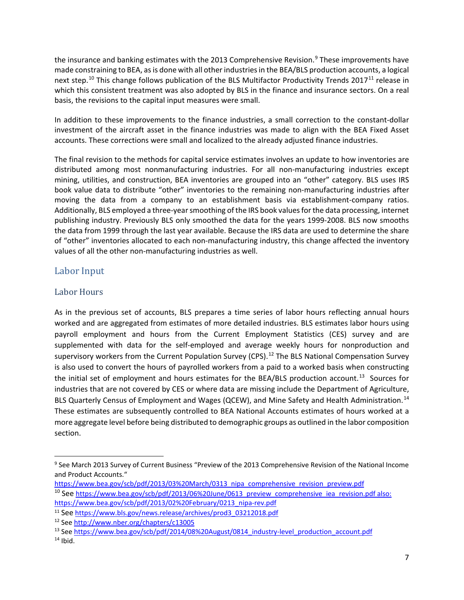the insurance and banking estimates with the 2013 Comprehensive Revision. [9](#page-6-0) These improvements have made constraining to BEA, as is done with all other industries in the BEA/BLS production accounts, a logical next step.<sup>[10](#page-6-1)</sup> This change follows publication of the BLS Multifactor Productivity Trends 2017<sup>[11](#page-6-2)</sup> release in which this consistent treatment was also adopted by BLS in the finance and insurance sectors. On a real basis, the revisions to the capital input measures were small.

In addition to these improvements to the finance industries, a small correction to the constant-dollar investment of the aircraft asset in the finance industries was made to align with the BEA Fixed Asset accounts. These corrections were small and localized to the already adjusted finance industries.

The final revision to the methods for capital service estimates involves an update to how inventories are distributed among most nonmanufacturing industries. For all non-manufacturing industries except mining, utilities, and construction, BEA inventories are grouped into an "other" category. BLS uses IRS book value data to distribute "other" inventories to the remaining non-manufacturing industries after moving the data from a company to an establishment basis via establishment-company ratios. Additionally, BLS employed a three-year smoothing of the IRS book values for the data processing, internet publishing industry. Previously BLS only smoothed the data for the years 1999-2008. BLS now smooths the data from 1999 through the last year available. Because the IRS data are used to determine the share of "other" inventories allocated to each non-manufacturing industry, this change affected the inventory values of all the other non-manufacturing industries as well.

## Labor Input

### Labor Hours

As in the previous set of accounts, BLS prepares a time series of labor hours reflecting annual hours worked and are aggregated from estimates of more detailed industries. BLS estimates labor hours using payroll employment and hours from the Current Employment Statistics (CES) survey and are supplemented with data for the self-employed and average weekly hours for nonproduction and supervisory workers from the Current Population Survey (CPS).<sup>[12](#page-6-3)</sup> The BLS National Compensation Survey is also used to convert the hours of payrolled workers from a paid to a worked basis when constructing the initial set of employment and hours estimates for the BEA/BLS production account. [13](#page-6-4) Sources for industries that are not covered by CES or where data are missing include the Department of Agriculture, BLS Quarterly Census of Employment and Wages (QCEW), and Mine Safety and Health Administration.<sup>[14](#page-6-5)</sup> These estimates are subsequently controlled to BEA National Accounts estimates of hours worked at a more aggregate level before being distributed to demographic groups as outlined in the labor composition section.

<span id="page-6-0"></span><sup>&</sup>lt;sup>9</sup> See March 2013 Survey of Current Business "Preview of the 2013 Comprehensive Revision of the National Income and Product Accounts."

[https://www.bea.gov/scb/pdf/2013/03%20March/0313\\_nipa\\_comprehensive\\_revision\\_preview.pdf](https://www.bea.gov/scb/pdf/2013/03%20March/0313_nipa_comprehensive_revision_preview.pdf)

<span id="page-6-1"></span><sup>&</sup>lt;sup>10</sup> See [https://www.bea.gov/scb/pdf/2013/06%20June/0613\\_preview\\_comprehensive\\_iea\\_revision.pdf](https://www.bea.gov/scb/pdf/2013/06%20June/0613_preview_comprehensive_iea_revision.pdf) also: [https://www.bea.gov/scb/pdf/2013/02%20February/0213\\_nipa-rev.pdf](https://www.bea.gov/scb/pdf/2013/02%20February/0213_nipa-rev.pdf)

<span id="page-6-2"></span><sup>11</sup> See [https://www.bls.gov/news.release/archives/prod3\\_03212018.pdf](https://www.bls.gov/news.release/archives/prod3_03212018.pdf)

<span id="page-6-3"></span><sup>12</sup> Se[e http://www.nber.org/chapters/c13005](http://www.nber.org/chapters/c13005)

<span id="page-6-4"></span><sup>&</sup>lt;sup>13</sup> Se[e https://www.bea.gov/scb/pdf/2014/08%20August/0814\\_industry-level\\_production\\_account.pdf](https://www.bea.gov/scb/pdf/2014/08%20August/0814_industry-level_production_account.pdf)

<span id="page-6-5"></span> $14$  Ibid.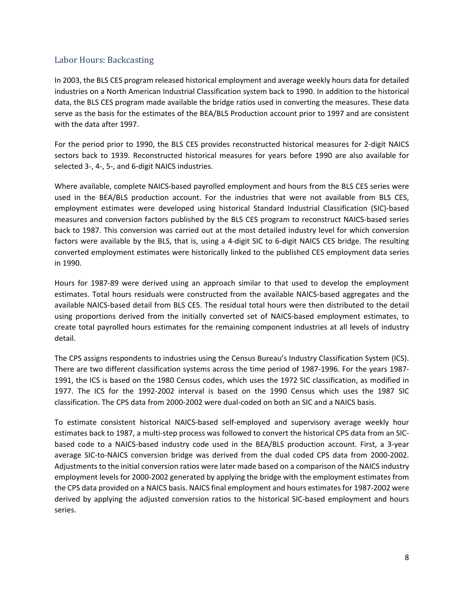#### Labor Hours: Backcasting

In 2003, the BLS CES program released historical employment and average weekly hours data for detailed industries on a North American Industrial Classification system back to 1990. In addition to the historical data, the BLS CES program made available the bridge ratios used in converting the measures. These data serve as the basis for the estimates of the BEA/BLS Production account prior to 1997 and are consistent with the data after 1997.

For the period prior to 1990, the BLS CES provides reconstructed historical measures for 2-digit NAICS sectors back to 1939. Reconstructed historical measures for years before 1990 are also available for selected 3-, 4-, 5-, and 6-digit NAICS industries.

Where available, complete NAICS-based payrolled employment and hours from the BLS CES series were used in the BEA/BLS production account. For the industries that were not available from BLS CES, employment estimates were developed using historical Standard Industrial Classification (SIC)-based measures and conversion factors published by the BLS CES program to reconstruct NAICS-based series back to 1987. This conversion was carried out at the most detailed industry level for which conversion factors were available by the BLS, that is, using a 4-digit SIC to 6-digit NAICS CES bridge. The resulting converted employment estimates were historically linked to the published CES employment data series in 1990.

Hours for 1987-89 were derived using an approach similar to that used to develop the employment estimates. Total hours residuals were constructed from the available NAICS-based aggregates and the available NAICS-based detail from BLS CES. The residual total hours were then distributed to the detail using proportions derived from the initially converted set of NAICS-based employment estimates, to create total payrolled hours estimates for the remaining component industries at all levels of industry detail.

The CPS assigns respondents to industries using the Census Bureau's Industry Classification System (ICS). There are two different classification systems across the time period of 1987-1996. For the years 1987- 1991, the ICS is based on the 1980 Census codes, which uses the 1972 SIC classification, as modified in 1977. The ICS for the 1992-2002 interval is based on the 1990 Census which uses the 1987 SIC classification. The CPS data from 2000-2002 were dual-coded on both an SIC and a NAICS basis.

To estimate consistent historical NAICS-based self-employed and supervisory average weekly hour estimates back to 1987, a multi-step process was followed to convert the historical CPS data from an SICbased code to a NAICS-based industry code used in the BEA/BLS production account. First, a 3-year average SIC-to-NAICS conversion bridge was derived from the dual coded CPS data from 2000-2002. Adjustments to the initial conversion ratios were later made based on a comparison of the NAICS industry employment levels for 2000-2002 generated by applying the bridge with the employment estimates from the CPS data provided on a NAICS basis. NAICS final employment and hours estimates for 1987-2002 were derived by applying the adjusted conversion ratios to the historical SIC-based employment and hours series.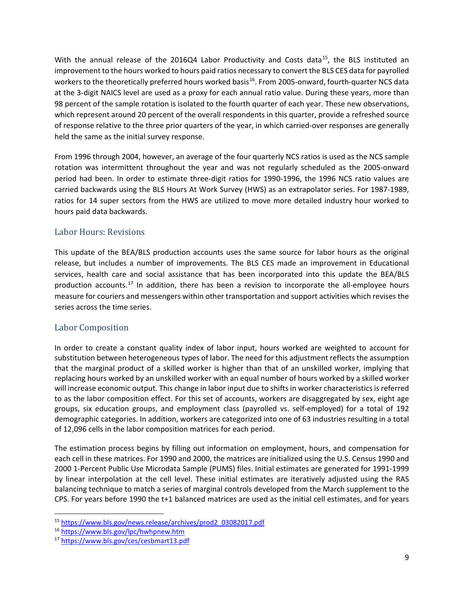With the annual release of the 2016Q4 Labor Productivity and Costs data<sup>15</sup>, the BLS instituted an improvement to the hours worked to hours paid ratios necessary to convert the BLS CES data for payrolled workers to the theoretically preferred hours worked basis<sup>[16](#page-8-1)</sup>. From 2005-onward, fourth-quarter NCS data at the 3-digit NAICS level are used as a proxy for each annual ratio value. During these years, more than 98 percent of the sample rotation is isolated to the fourth quarter of each year. These new observations, which represent around 20 percent of the overall respondents in this quarter, provide a refreshed source of response relative to the three prior quarters of the year, in which carried-over responses are generally held the same as the initial survey response.

From 1996 through 2004, however, an average of the four quarterly NCS ratios is used as the NCS sample rotation was intermittent throughout the year and was not regularly scheduled as the 2005-onward period had been. In order to estimate three-digit ratios for 1990-1996, the 1996 NCS ratio values are carried backwards using the BLS Hours At Work Survey (HWS) as an extrapolator series. For 1987-1989, ratios for 14 super sectors from the HWS are utilized to move more detailed industry hour worked to hours paid data backwards.

#### Labor Hours: Revisions

This update of the BEA/BLS production accounts uses the same source for labor hours as the original release, but includes a number of improvements. The BLS CES made an improvement in Educational services, health care and social assistance that has been incorporated into this update the BEA/BLS production accounts.<sup>[17](#page-8-2)</sup> In addition, there has been a revision to incorporate the all-employee hours measure for couriers and messengers within other transportation and support activities which revises the series across the time series.

#### Labor Composition

In order to create a constant quality index of labor input, hours worked are weighted to account for substitution between heterogeneous types of labor. The need for this adjustment reflects the assumption that the marginal product of a skilled worker is higher than that of an unskilled worker, implying that replacing hours worked by an unskilled worker with an equal number of hours worked by a skilled worker will increase economic output. This change in labor input due to shifts in worker characteristics is referred to as the labor composition effect. For this set of accounts, workers are disaggregated by sex, eight age groups, six education groups, and employment class (payrolled vs. self-employed) for a total of 192 demographic categories. In addition, workers are categorized into one of 63 industries resulting in a total of 12,096 cells in the labor composition matrices for each period.

The estimation process begins by filling out information on employment, hours, and compensation for each cell in these matrices. For 1990 and 2000, the matrices are initialized using the U.S. Census 1990 and 2000 1-Percent Public Use Microdata Sample (PUMS) files. Initial estimates are generated for 1991-1999 by linear interpolation at the cell level. These initial estimates are iteratively adjusted using the RAS balancing technique to match a series of marginal controls developed from the March supplement to the CPS. For years before 1990 the t+1 balanced matrices are used as the initial cell estimates, and for years

<span id="page-8-0"></span> <sup>15</sup> [https://www.bls.gov/news.release/archives/prod2\\_03082017.pdf](https://www.bls.gov/news.release/archives/prod2_03082017.pdf)

<span id="page-8-1"></span><sup>16</sup> <https://www.bls.gov/lpc/hwhpnew.htm>

<span id="page-8-2"></span><sup>17</sup> <https://www.bls.gov/ces/cesbmart13.pdf>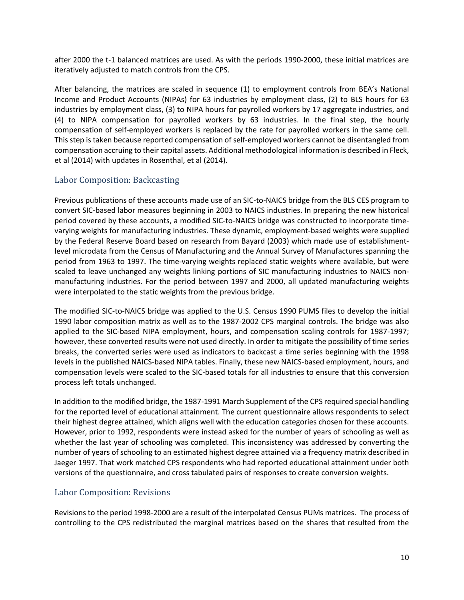after 2000 the t-1 balanced matrices are used. As with the periods 1990-2000, these initial matrices are iteratively adjusted to match controls from the CPS.

After balancing, the matrices are scaled in sequence (1) to employment controls from BEA's National Income and Product Accounts (NIPAs) for 63 industries by employment class, (2) to BLS hours for 63 industries by employment class, (3) to NIPA hours for payrolled workers by 17 aggregate industries, and (4) to NIPA compensation for payrolled workers by 63 industries. In the final step, the hourly compensation of self-employed workers is replaced by the rate for payrolled workers in the same cell. This step is taken because reported compensation of self-employed workers cannot be disentangled from compensation accruing to their capital assets. Additional methodological information is described in Fleck, et al (2014) with updates in Rosenthal, et al (2014).

#### Labor Composition: Backcasting

Previous publications of these accounts made use of an SIC-to-NAICS bridge from the BLS CES program to convert SIC-based labor measures beginning in 2003 to NAICS industries. In preparing the new historical period covered by these accounts, a modified SIC-to-NAICS bridge was constructed to incorporate timevarying weights for manufacturing industries. These dynamic, employment-based weights were supplied by the Federal Reserve Board based on research from Bayard (2003) which made use of establishmentlevel microdata from the Census of Manufacturing and the Annual Survey of Manufactures spanning the period from 1963 to 1997. The time-varying weights replaced static weights where available, but were scaled to leave unchanged any weights linking portions of SIC manufacturing industries to NAICS nonmanufacturing industries. For the period between 1997 and 2000, all updated manufacturing weights were interpolated to the static weights from the previous bridge.

The modified SIC-to-NAICS bridge was applied to the U.S. Census 1990 PUMS files to develop the initial 1990 labor composition matrix as well as to the 1987-2002 CPS marginal controls. The bridge was also applied to the SIC-based NIPA employment, hours, and compensation scaling controls for 1987-1997; however, these converted results were not used directly. In order to mitigate the possibility of time series breaks, the converted series were used as indicators to backcast a time series beginning with the 1998 levels in the published NAICS-based NIPA tables. Finally, these new NAICS-based employment, hours, and compensation levels were scaled to the SIC-based totals for all industries to ensure that this conversion process left totals unchanged.

In addition to the modified bridge, the 1987-1991 March Supplement of the CPS required special handling for the reported level of educational attainment. The current questionnaire allows respondents to select their highest degree attained, which aligns well with the education categories chosen for these accounts. However, prior to 1992, respondents were instead asked for the number of years of schooling as well as whether the last year of schooling was completed. This inconsistency was addressed by converting the number of years of schooling to an estimated highest degree attained via a frequency matrix described in Jaeger 1997. That work matched CPS respondents who had reported educational attainment under both versions of the questionnaire, and cross tabulated pairs of responses to create conversion weights.

#### Labor Composition: Revisions

Revisions to the period 1998-2000 are a result of the interpolated Census PUMs matrices. The process of controlling to the CPS redistributed the marginal matrices based on the shares that resulted from the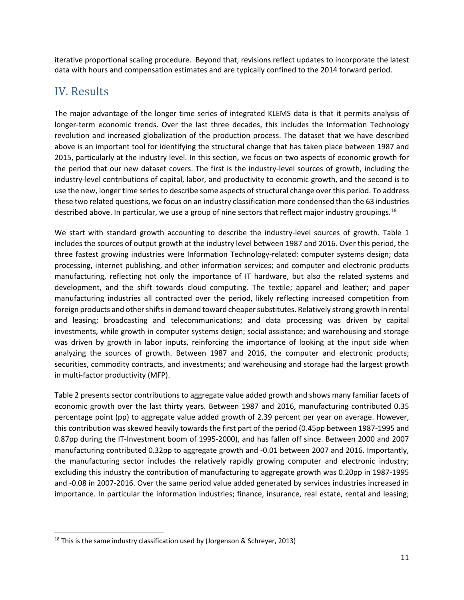iterative proportional scaling procedure. Beyond that, revisions reflect updates to incorporate the latest data with hours and compensation estimates and are typically confined to the 2014 forward period.

# IV. Results

The major advantage of the longer time series of integrated KLEMS data is that it permits analysis of longer-term economic trends. Over the last three decades, this includes the Information Technology revolution and increased globalization of the production process. The dataset that we have described above is an important tool for identifying the structural change that has taken place between 1987 and 2015, particularly at the industry level. In this section, we focus on two aspects of economic growth for the period that our new dataset covers. The first is the industry-level sources of growth, including the industry-level contributions of capital, labor, and productivity to economic growth, and the second is to use the new, longer time series to describe some aspects of structural change over this period. To address these two related questions, we focus on an industry classification more condensed than the 63 industries described above. In particular, we use a group of nine sectors that reflect major industry groupings.<sup>[18](#page-10-0)</sup>

We start with standard growth accounting to describe the industry-level sources of growth. Table 1 includes the sources of output growth at the industry level between 1987 and 2016. Over this period, the three fastest growing industries were Information Technology-related: computer systems design; data processing, internet publishing, and other information services; and computer and electronic products manufacturing, reflecting not only the importance of IT hardware, but also the related systems and development, and the shift towards cloud computing. The textile; apparel and leather; and paper manufacturing industries all contracted over the period, likely reflecting increased competition from foreign products and other shifts in demand toward cheaper substitutes. Relatively strong growth in rental and leasing; broadcasting and telecommunications; and data processing was driven by capital investments, while growth in computer systems design; social assistance; and warehousing and storage was driven by growth in labor inputs, reinforcing the importance of looking at the input side when analyzing the sources of growth. Between 1987 and 2016, the computer and electronic products; securities, commodity contracts, and investments; and warehousing and storage had the largest growth in multi-factor productivity (MFP).

Table 2 presents sector contributions to aggregate value added growth and shows many familiar facets of economic growth over the last thirty years. Between 1987 and 2016, manufacturing contributed 0.35 percentage point (pp) to aggregate value added growth of 2.39 percent per year on average. However, this contribution was skewed heavily towards the first part of the period (0.45pp between 1987-1995 and 0.87pp during the IT-Investment boom of 1995-2000), and has fallen off since. Between 2000 and 2007 manufacturing contributed 0.32pp to aggregate growth and -0.01 between 2007 and 2016. Importantly, the manufacturing sector includes the relatively rapidly growing computer and electronic industry; excluding this industry the contribution of manufacturing to aggregate growth was 0.20pp in 1987-1995 and -0.08 in 2007-2016. Over the same period value added generated by services industries increased in importance. In particular the information industries; finance, insurance, real estate, rental and leasing;

<span id="page-10-0"></span> $18$  This is the same industry classification used by (Jorgenson & Schreyer, 2013)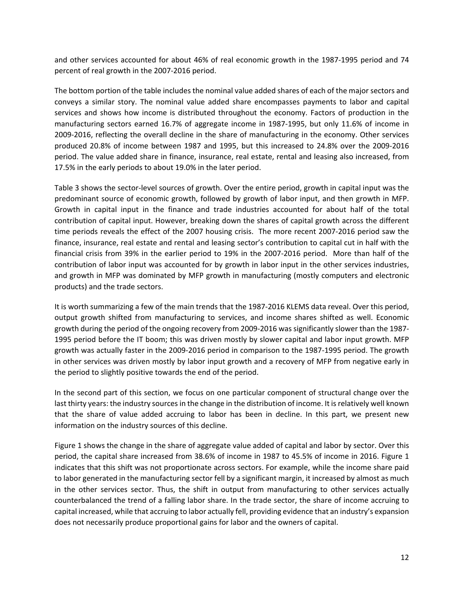and other services accounted for about 46% of real economic growth in the 1987-1995 period and 74 percent of real growth in the 2007-2016 period.

The bottom portion of the table includes the nominal value added shares of each of the major sectors and conveys a similar story. The nominal value added share encompasses payments to labor and capital services and shows how income is distributed throughout the economy. Factors of production in the manufacturing sectors earned 16.7% of aggregate income in 1987-1995, but only 11.6% of income in 2009-2016, reflecting the overall decline in the share of manufacturing in the economy. Other services produced 20.8% of income between 1987 and 1995, but this increased to 24.8% over the 2009-2016 period. The value added share in finance, insurance, real estate, rental and leasing also increased, from 17.5% in the early periods to about 19.0% in the later period.

Table 3 shows the sector-level sources of growth. Over the entire period, growth in capital input was the predominant source of economic growth, followed by growth of labor input, and then growth in MFP. Growth in capital input in the finance and trade industries accounted for about half of the total contribution of capital input. However, breaking down the shares of capital growth across the different time periods reveals the effect of the 2007 housing crisis. The more recent 2007-2016 period saw the finance, insurance, real estate and rental and leasing sector's contribution to capital cut in half with the financial crisis from 39% in the earlier period to 19% in the 2007-2016 period. More than half of the contribution of labor input was accounted for by growth in labor input in the other services industries, and growth in MFP was dominated by MFP growth in manufacturing (mostly computers and electronic products) and the trade sectors.

It is worth summarizing a few of the main trends that the 1987-2016 KLEMS data reveal. Over this period, output growth shifted from manufacturing to services, and income shares shifted as well. Economic growth during the period of the ongoing recovery from 2009-2016 was significantly slower than the 1987- 1995 period before the IT boom; this was driven mostly by slower capital and labor input growth. MFP growth was actually faster in the 2009-2016 period in comparison to the 1987-1995 period. The growth in other services was driven mostly by labor input growth and a recovery of MFP from negative early in the period to slightly positive towards the end of the period.

In the second part of this section, we focus on one particular component of structural change over the last thirty years: the industry sources in the change in the distribution of income. It is relatively well known that the share of value added accruing to labor has been in decline. In this part, we present new information on the industry sources of this decline.

Figure 1 shows the change in the share of aggregate value added of capital and labor by sector. Over this period, the capital share increased from 38.6% of income in 1987 to 45.5% of income in 2016. Figure 1 indicates that this shift was not proportionate across sectors. For example, while the income share paid to labor generated in the manufacturing sector fell by a significant margin, it increased by almost as much in the other services sector. Thus, the shift in output from manufacturing to other services actually counterbalanced the trend of a falling labor share. In the trade sector, the share of income accruing to capital increased, while that accruing to labor actually fell, providing evidence that an industry's expansion does not necessarily produce proportional gains for labor and the owners of capital.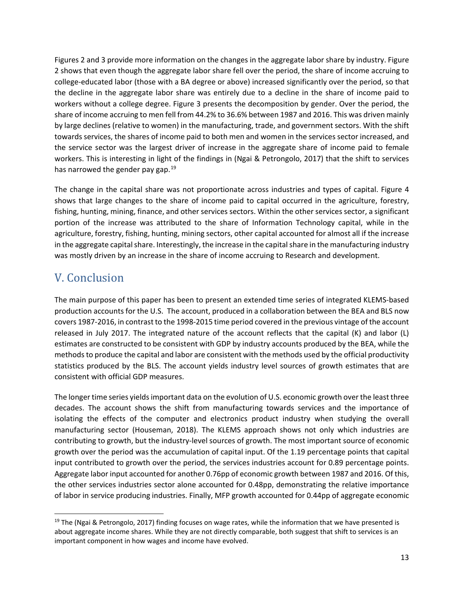Figures 2 and 3 provide more information on the changes in the aggregate labor share by industry. Figure 2 shows that even though the aggregate labor share fell over the period, the share of income accruing to college-educated labor (those with a BA degree or above) increased significantly over the period, so that the decline in the aggregate labor share was entirely due to a decline in the share of income paid to workers without a college degree. Figure 3 presents the decomposition by gender. Over the period, the share of income accruing to men fell from 44.2% to 36.6% between 1987 and 2016. This was driven mainly by large declines (relative to women) in the manufacturing, trade, and government sectors. With the shift towards services, the shares of income paid to both men and women in the services sector increased, and the service sector was the largest driver of increase in the aggregate share of income paid to female workers. This is interesting in light of the findings in (Ngai & Petrongolo, 2017) that the shift to services has narrowed the gender pay gap.<sup>[19](#page-12-0)</sup>

The change in the capital share was not proportionate across industries and types of capital. Figure 4 shows that large changes to the share of income paid to capital occurred in the agriculture, forestry, fishing, hunting, mining, finance, and other services sectors. Within the other services sector, a significant portion of the increase was attributed to the share of Information Technology capital, while in the agriculture, forestry, fishing, hunting, mining sectors, other capital accounted for almost all if the increase in the aggregate capital share. Interestingly, the increase in the capital share in the manufacturing industry was mostly driven by an increase in the share of income accruing to Research and development.

# V. Conclusion

The main purpose of this paper has been to present an extended time series of integrated KLEMS-based production accounts for the U.S. The account, produced in a collaboration between the BEA and BLS now covers 1987-2016, in contrast to the 1998-2015 time period covered in the previous vintage of the account released in July 2017. The integrated nature of the account reflects that the capital (K) and labor (L) estimates are constructed to be consistent with GDP by industry accounts produced by the BEA, while the methods to produce the capital and labor are consistent with the methods used by the official productivity statistics produced by the BLS. The account yields industry level sources of growth estimates that are consistent with official GDP measures.

The longer time series yields important data on the evolution of U.S. economic growth over the least three decades. The account shows the shift from manufacturing towards services and the importance of isolating the effects of the computer and electronics product industry when studying the overall manufacturing sector (Houseman, 2018). The KLEMS approach shows not only which industries are contributing to growth, but the industry-level sources of growth. The most important source of economic growth over the period was the accumulation of capital input. Of the 1.19 percentage points that capital input contributed to growth over the period, the services industries account for 0.89 percentage points. Aggregate labor input accounted for another 0.76pp of economic growth between 1987 and 2016. Of this, the other services industries sector alone accounted for 0.48pp, demonstrating the relative importance of labor in service producing industries. Finally, MFP growth accounted for 0.44pp of aggregate economic

<span id="page-12-0"></span> $19$  The (Ngai & Petrongolo, 2017) finding focuses on wage rates, while the information that we have presented is about aggregate income shares. While they are not directly comparable, both suggest that shift to services is an important component in how wages and income have evolved.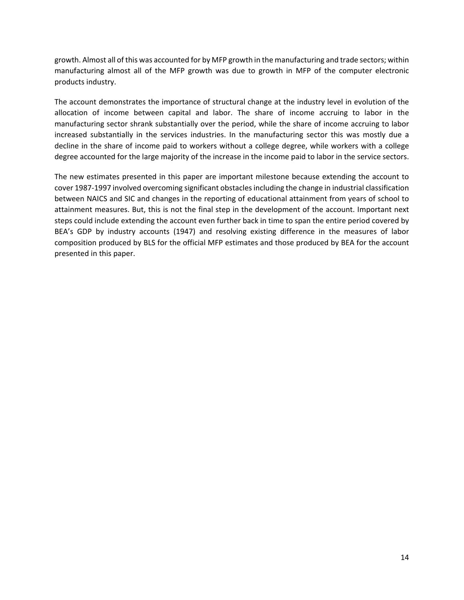growth. Almost all of this was accounted for by MFP growth in the manufacturing and trade sectors; within manufacturing almost all of the MFP growth was due to growth in MFP of the computer electronic products industry.

The account demonstrates the importance of structural change at the industry level in evolution of the allocation of income between capital and labor. The share of income accruing to labor in the manufacturing sector shrank substantially over the period, while the share of income accruing to labor increased substantially in the services industries. In the manufacturing sector this was mostly due a decline in the share of income paid to workers without a college degree, while workers with a college degree accounted for the large majority of the increase in the income paid to labor in the service sectors.

The new estimates presented in this paper are important milestone because extending the account to cover 1987-1997 involved overcoming significant obstacles including the change in industrial classification between NAICS and SIC and changes in the reporting of educational attainment from years of school to attainment measures. But, this is not the final step in the development of the account. Important next steps could include extending the account even further back in time to span the entire period covered by BEA's GDP by industry accounts (1947) and resolving existing difference in the measures of labor composition produced by BLS for the official MFP estimates and those produced by BEA for the account presented in this paper.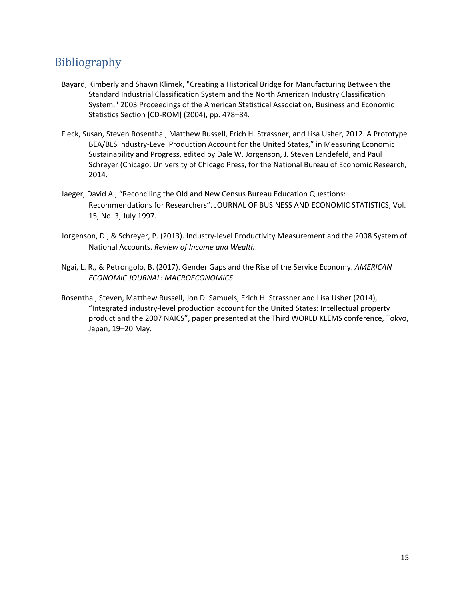## Bibliography

- Bayard, Kimberly and Shawn Klimek, "Creating a Historical Bridge for Manufacturing Between the Standard Industrial Classification System and the North American Industry Classification System," 2003 Proceedings of the American Statistical Association, Business and Economic Statistics Section [CD-ROM] (2004), pp. 478–84.
- Fleck, Susan, Steven Rosenthal, Matthew Russell, Erich H. Strassner, and Lisa Usher, 2012. A Prototype BEA/BLS Industry-Level Production Account for the United States," in Measuring Economic Sustainability and Progress, edited by Dale W. Jorgenson, J. Steven Landefeld, and Paul Schreyer (Chicago: University of Chicago Press, for the National Bureau of Economic Research, 2014.
- Jaeger, David A., "Reconciling the Old and New Census Bureau Education Questions: Recommendations for Researchers". JOURNAL OF BUSINESS AND ECONOMIC STATISTICS, Vol. 15, No. 3, July 1997.
- Jorgenson, D., & Schreyer, P. (2013). Industry-level Productivity Measurement and the 2008 System of National Accounts. *Review of Income and Wealth*.
- Ngai, L. R., & Petrongolo, B. (2017). Gender Gaps and the Rise of the Service Economy. *AMERICAN ECONOMIC JOURNAL: MACROECONOMICS*.
- Rosenthal, Steven, Matthew Russell, Jon D. Samuels, Erich H. Strassner and Lisa Usher (2014), "Integrated industry-level production account for the United States: Intellectual property product and the 2007 NAICS", paper presented at the Third WORLD KLEMS conference, Tokyo, Japan, 19–20 May.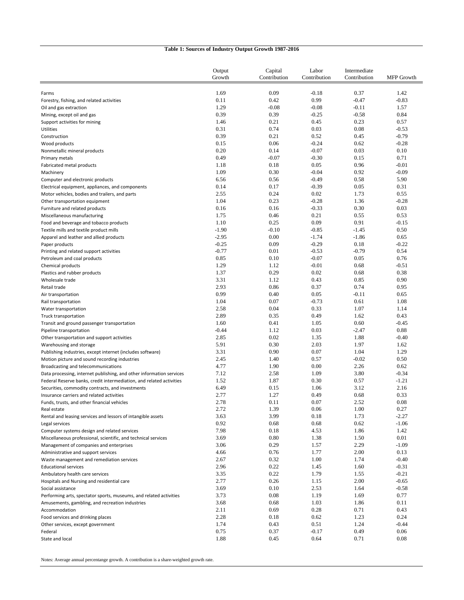|                                                                                                                                              | Output             | Capital      | Labor              | Intermediate    |                    |
|----------------------------------------------------------------------------------------------------------------------------------------------|--------------------|--------------|--------------------|-----------------|--------------------|
|                                                                                                                                              | Growth             | Contribution | Contribution       | Contribution    | MFP Growth         |
|                                                                                                                                              |                    |              |                    |                 |                    |
| Farms                                                                                                                                        | 1.69               | 0.09         | $-0.18$            | 0.37            | 1.42               |
| Forestry, fishing, and related activities                                                                                                    | 0.11               | 0.42         | 0.99               | $-0.47$         | $-0.83$            |
| Oil and gas extraction                                                                                                                       | 1.29               | $-0.08$      | $-0.08$            | $-0.11$         | 1.57               |
| Mining, except oil and gas<br>Support activities for mining                                                                                  | 0.39<br>1.46       | 0.39<br>0.21 | $-0.25$<br>0.45    | $-0.58$<br>0.23 | 0.84<br>0.57       |
| <b>Utilities</b>                                                                                                                             | 0.31               | 0.74         | 0.03               | 0.08            | $-0.53$            |
| Construction                                                                                                                                 | 0.39               | 0.21         | 0.52               | 0.45            | $-0.79$            |
| Wood products                                                                                                                                | 0.15               | 0.06         | $-0.24$            | 0.62            | $-0.28$            |
| Nonmetallic mineral products                                                                                                                 | 0.20               | 0.14         | $-0.07$            | 0.03            | 0.10               |
| Primary metals                                                                                                                               | 0.49               | $-0.07$      | $-0.30$            | 0.15            | 0.71               |
| Fabricated metal products                                                                                                                    | 1.18               | 0.18         | 0.05               | 0.96            | $-0.01$            |
| Machinery                                                                                                                                    | 1.09               | 0.30         | $-0.04$            | 0.92            | $-0.09$            |
| Computer and electronic products                                                                                                             | 6.56               | 0.56         | $-0.49$            | 0.58            | 5.90               |
| Electrical equipment, appliances, and components                                                                                             | 0.14               | 0.17         | $-0.39$            | 0.05            | 0.31               |
| Motor vehicles, bodies and trailers, and parts                                                                                               | 2.55               | 0.24         | 0.02               | 1.73            | 0.55               |
| Other transportation equipment                                                                                                               | 1.04               | 0.23         | $-0.28$            | 1.36            | $-0.28$            |
| Furniture and related products                                                                                                               | 0.16               | 0.16         | $-0.33$            | 0.30            | 0.03               |
| Miscellaneous manufacturing                                                                                                                  | 1.75               | 0.46         | 0.21               | 0.55            | 0.53               |
| Food and beverage and tobacco products                                                                                                       | 1.10               | 0.25         | 0.09               | 0.91            | $-0.15$            |
| Textile mills and textile product mills                                                                                                      | $-1.90$            | $-0.10$      | $-0.85$            | $-1.45$         | 0.50               |
| Apparel and leather and allied products                                                                                                      | $-2.95$            | 0.00         | $-1.74$            | $-1.86$         | 0.65               |
| Paper products                                                                                                                               | $-0.25$<br>$-0.77$ | 0.09<br>0.01 | $-0.29$<br>$-0.53$ | 0.18<br>$-0.79$ | $-0.22$            |
| Printing and related support activities<br>Petroleum and coal products                                                                       | 0.85               | 0.10         | $-0.07$            | 0.05            | 0.54<br>0.76       |
| Chemical products                                                                                                                            | 1.29               | 1.12         | $-0.01$            | 0.68            | $-0.51$            |
| Plastics and rubber products                                                                                                                 | 1.37               | 0.29         | 0.02               | 0.68            | 0.38               |
| Wholesale trade                                                                                                                              | 3.31               | 1.12         | 0.43               | 0.85            | 0.90               |
| Retail trade                                                                                                                                 | 2.93               | 0.86         | 0.37               | 0.74            | 0.95               |
| Air transportation                                                                                                                           | 0.99               | 0.40         | 0.05               | $-0.11$         | 0.65               |
| Rail transportation                                                                                                                          | 1.04               | 0.07         | $-0.73$            | 0.61            | 1.08               |
| Water transportation                                                                                                                         | 2.58               | 0.04         | 0.33               | 1.07            | 1.14               |
| Truck transportation                                                                                                                         | 2.89               | 0.35         | 0.49               | 1.62            | 0.43               |
| Transit and ground passenger transportation                                                                                                  | 1.60               | 0.41         | 1.05               | 0.60            | $-0.45$            |
| Pipeline transportation                                                                                                                      | $-0.44$            | 1.12         | 0.03               | $-2.47$         | 0.88               |
| Other transportation and support activities                                                                                                  | 2.85               | 0.02         | 1.35               | 1.88            | $-0.40$            |
| Warehousing and storage                                                                                                                      | 5.91               | 0.30         | 2.03               | 1.97            | 1.62               |
| Publishing industries, except internet (includes software)                                                                                   | 3.31               | 0.90         | 0.07               | 1.04            | 1.29               |
| Motion picture and sound recording industries                                                                                                | 2.45               | 1.40         | 0.57               | $-0.02$         | 0.50               |
| Broadcasting and telecommunications                                                                                                          | 4.77               | 1.90         | 0.00               | 2.26<br>3.80    | 0.62               |
| Data processing, internet publishing, and other information services<br>Federal Reserve banks, credit intermediation, and related activities | 7.12<br>1.52       | 2.58<br>1.87 | 1.09<br>0.30       | 0.57            | $-0.34$<br>$-1.21$ |
| Securities, commodity contracts, and investments                                                                                             | 6.49               | 0.15         | 1.06               | 3.12            | 2.16               |
| Insurance carriers and related activities                                                                                                    | 2.77               | 1.27         | 0.49               | 0.68            | 0.33               |
| Funds, trusts, and other financial vehicles                                                                                                  | 2.78               | 0.11         | 0.07               | 2.52            | 0.08               |
| Real estate                                                                                                                                  | 2.72               | 1.39         | 0.06               | 1.00            | 0.27               |
| Rental and leasing services and lessors of intangible assets                                                                                 | 3.63               | 3.99         | 0.18               | 1.73            | $-2.27$            |
| Legal services                                                                                                                               | 0.92               | 0.68         | 0.68               | 0.62            | $-1.06$            |
| Computer systems design and related services                                                                                                 | 7.98               | 0.18         | 4.53               | 1.86            | 1.42               |
| Miscellaneous professional, scientific, and technical services                                                                               | 3.69               | 0.80         | 1.38               | 1.50            | 0.01               |
| Management of companies and enterprises                                                                                                      | 3.06               | 0.29         | 1.57               | 2.29            | $-1.09$            |
| Administrative and support services                                                                                                          | 4.66               | 0.76         | 1.77               | 2.00            | 0.13               |
| Waste management and remediation services                                                                                                    | 2.67               | 0.32         | 1.00               | 1.74            | $-0.40$            |
| <b>Educational services</b>                                                                                                                  | 2.96               | 0.22         | 1.45               | 1.60            | $-0.31$            |
| Ambulatory health care services                                                                                                              | 3.35               | 0.22         | 1.79               | 1.55            | $-0.21$            |
| Hospitals and Nursing and residential care                                                                                                   | 2.77               | 0.26         | 1.15               | 2.00            | $-0.65$            |
| Social assistance                                                                                                                            | 3.69               | 0.10<br>0.08 | 2.53               | 1.64            | $-0.58$<br>0.77    |
| Performing arts, spectator sports, museums, and related activities<br>Amusements, gambling, and recreation industries                        | 3.73<br>3.68       | 0.68         | 1.19<br>1.03       | 1.69<br>1.86    | 0.11               |
| Accommodation                                                                                                                                | 2.11               | 0.69         | 0.28               | 0.71            | 0.43               |
| Food services and drinking places                                                                                                            | 2.28               | 0.18         | 0.62               | 1.23            | 0.24               |
| Other services, except government                                                                                                            | 1.74               | 0.43         | 0.51               | 1.24            | $-0.44$            |
| Federal                                                                                                                                      | 0.75               | 0.37         | $-0.17$            | 0.49            | 0.06               |
| State and local                                                                                                                              | 1.88               | 0.45         | 0.64               | 0.71            | 0.08               |

# **Table 1: Sources of Industry Output Growth 1987-2016**

Notes: Average annual percentange growth. A contribution is a share-weighted growth rate.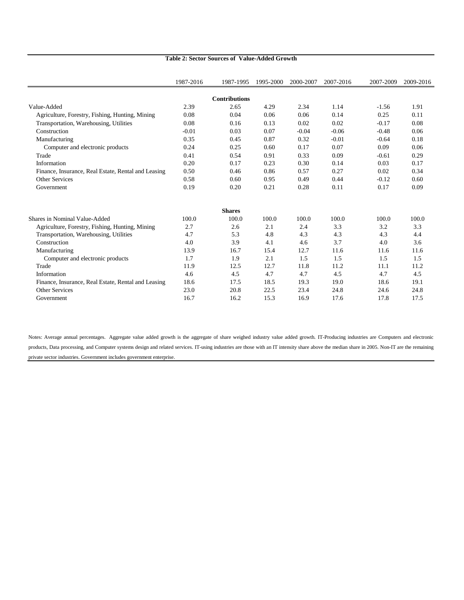|                                                     | 1987-2016 | 1987-1995            | 1995-2000 | 2000-2007 | 2007-2016 | 2007-2009 | 2009-2016 |
|-----------------------------------------------------|-----------|----------------------|-----------|-----------|-----------|-----------|-----------|
|                                                     |           | <b>Contributions</b> |           |           |           |           |           |
| Value-Added                                         | 2.39      | 2.65                 | 4.29      | 2.34      | 1.14      | $-1.56$   | 1.91      |
| Agriculture, Forestry, Fishing, Hunting, Mining     | 0.08      | 0.04                 | 0.06      | 0.06      | 0.14      | 0.25      | 0.11      |
| Transportation, Warehousing, Utilities              | 0.08      | 0.16                 | 0.13      | 0.02      | 0.02      | $-0.17$   | 0.08      |
| Construction                                        | $-0.01$   | 0.03                 | 0.07      | $-0.04$   | $-0.06$   | $-0.48$   | 0.06      |
| Manufacturing                                       | 0.35      | 0.45                 | 0.87      | 0.32      | $-0.01$   | $-0.64$   | 0.18      |
|                                                     |           |                      |           |           |           |           |           |
| Computer and electronic products                    | 0.24      | 0.25                 | 0.60      | 0.17      | 0.07      | 0.09      | 0.06      |
| Trade                                               | 0.41      | 0.54                 | 0.91      | 0.33      | 0.09      | $-0.61$   | 0.29      |
| Information                                         | 0.20      | 0.17                 | 0.23      | 0.30      | 0.14      | 0.03      | 0.17      |
| Finance, Insurance, Real Estate, Rental and Leasing | 0.50      | 0.46                 | 0.86      | 0.57      | 0.27      | 0.02      | 0.34      |
| <b>Other Services</b>                               | 0.58      | 0.60                 | 0.95      | 0.49      | 0.44      | $-0.12$   | 0.60      |
| Government                                          | 0.19      | 0.20                 | 0.21      | 0.28      | 0.11      | 0.17      | 0.09      |
|                                                     |           | <b>Shares</b>        |           |           |           |           |           |
| <b>Shares in Nominal Value-Added</b>                | 100.0     | 100.0                | 100.0     | 100.0     | 100.0     | 100.0     | 100.0     |
| Agriculture, Forestry, Fishing, Hunting, Mining     | 2.7       | 2.6                  | 2.1       | 2.4       | 3.3       | 3.2       | 3.3       |
| Transportation, Warehousing, Utilities              | 4.7       | 5.3                  | 4.8       | 4.3       | 4.3       | 4.3       | 4.4       |
| Construction                                        | 4.0       | 3.9                  | 4.1       | 4.6       | 3.7       | 4.0       | 3.6       |
| Manufacturing                                       | 13.9      | 16.7                 | 15.4      | 12.7      | 11.6      | 11.6      | 11.6      |
| Computer and electronic products                    | 1.7       | 1.9                  | 2.1       | 1.5       | 1.5       | 1.5       | 1.5       |
| Trade                                               | 11.9      | 12.5                 | 12.7      | 11.8      | 11.2      | 11.1      | 11.2      |
| Information                                         | 4.6       | 4.5                  | 4.7       | 4.7       | 4.5       | 4.7       | 4.5       |
| Finance, Insurance, Real Estate, Rental and Leasing | 18.6      | 17.5                 | 18.5      | 19.3      | 19.0      | 18.6      | 19.1      |
| <b>Other Services</b>                               | 23.0      | 20.8                 | 22.5      | 23.4      | 24.8      | 24.6      | 24.8      |
| Government                                          | 16.7      | 16.2                 | 15.3      | 16.9      | 17.6      | 17.8      | 17.5      |

#### **Table 2: Sector Sources of Value-Added Growth**

Notes: Average annual percentages. Aggregate value added growth is the aggregate of share weighed industry value added growth. IT-Producing industries are Computers and electronic products, Data processing, and Computer systems design and related services. IT-using industries are those with an IT intensity share above the median share in 2005. Non-IT are the remaining private sector industries. Government includes government enterprise.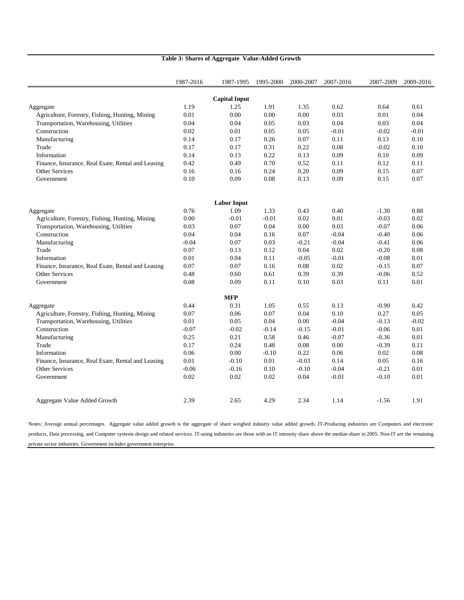|                                                    | 1987-2016 | 1987-1995            | 1995-2000 | 2000-2007 | 2007-2016 | 2007-2009 | 2009-2016 |
|----------------------------------------------------|-----------|----------------------|-----------|-----------|-----------|-----------|-----------|
|                                                    |           | <b>Capital Input</b> |           |           |           |           |           |
| Aggregate                                          | 1.19      | 1.25                 | 1.91      | 1.35      | 0.62      | 0.64      | 0.61      |
| Agriculture, Forestry, Fishing, Hunting, Mining    | 0.01      | 0.00                 | 0.00      | 0.00      | 0.03      | 0.01      | 0.04      |
| Transportation, Warehousing, Utilities             | 0.04      | 0.04                 | 0.05      | 0.03      | 0.04      | 0.03      | 0.04      |
| Construction                                       | 0.02      | 0.01                 | 0.05      | 0.05      | $-0.01$   | $-0.02$   | $-0.01$   |
| Manufacturing                                      | 0.14      | 0.17                 | 0.26      | 0.07      | 0.11      | 0.13      | 0.10      |
| Trade                                              | 0.17      | 0.17                 | 0.31      | 0.22      | 0.08      | $-0.02$   | 0.10      |
| Information                                        | 0.14      | 0.13                 | 0.22      | 0.13      | 0.09      | 0.10      | 0.09      |
| Finance, Insurance, Real Esate, Rental and Leasing | 0.42      | 0.49                 | 0.70      | 0.52      | 0.11      | 0.12      | 0.11      |
| <b>Other Services</b>                              | 0.16      | 0.16                 | 0.24      | 0.20      | 0.09      | 0.15      | 0.07      |
| Government                                         | 0.10      | 0.09                 | 0.08      | 0.13      | 0.09      | 0.15      | 0.07      |
|                                                    |           |                      |           |           |           |           |           |
|                                                    |           | <b>Labor Input</b>   |           |           |           |           |           |
| Aggregate                                          | 0.76      | 1.09                 | 1.33      | 0.43      | 0.40      | $-1.30$   | 0.88      |
| Agriculture, Forestry, Fishing, Hunting, Mining    | 0.00      | $-0.01$              | $-0.01$   | 0.02      | 0.01      | $-0.03$   | 0.02      |
| Transportation, Warehousing, Utilities             | 0.03      | 0.07                 | 0.04      | 0.00      | 0.03      | $-0.07$   | 0.06      |
| Construction                                       | 0.04      | 0.04                 | 0.16      | 0.07      | $-0.04$   | $-0.40$   | 0.06      |
| Manufacturing                                      | $-0.04$   | 0.07                 | 0.03      | $-0.21$   | $-0.04$   | $-0.41$   | 0.06      |
| Trade                                              | 0.07      | 0.13                 | 0.12      | 0.04      | 0.02      | $-0.20$   | 0.08      |
| Information                                        | 0.01      | 0.04                 | 0.11      | $-0.05$   | $-0.01$   | $-0.08$   | 0.01      |
| Finance, Insurance, Real Esate, Rental and Leasing | 0.07      | 0.07                 | 0.16      | 0.08      | 0.02      | $-0.15$   | 0.07      |
| <b>Other Services</b>                              | 0.48      | 0.60                 | 0.61      | 0.39      | 0.39      | $-0.06$   | 0.52      |
| Government                                         | 0.08      | 0.09                 | 0.11      | 0.10      | 0.03      | 0.11      | 0.01      |
|                                                    |           | <b>MFP</b>           |           |           |           |           |           |
| Aggregate                                          | 0.44      | 0.31                 | 1.05      | 0.55      | 0.13      | $-0.90$   | 0.42      |
| Agriculture, Forestry, Fishing, Hunting, Mining    | 0.07      | 0.06                 | 0.07      | 0.04      | 0.10      | 0.27      | 0.05      |
| Transportation, Warehousing, Utilities             | 0.01      | 0.05                 | 0.04      | 0.00      | $-0.04$   | $-0.13$   | $-0.02$   |
| Construction                                       | $-0.07$   | $-0.02$              | $-0.14$   | $-0.15$   | $-0.01$   | $-0.06$   | 0.01      |
| Manufacturing                                      | 0.25      | 0.21                 | 0.58      | 0.46      | $-0.07$   | $-0.36$   | 0.01      |
| Trade                                              | 0.17      | 0.24                 | 0.48      | 0.08      | 0.00      | $-0.39$   | 0.11      |
| Information                                        | 0.06      | 0.00                 | $-0.10$   | 0.22      | 0.06      | 0.02      | 0.08      |
| Finance, Insurance, Real Esate, Rental and Leasing | 0.01      | $-0.10$              | 0.01      | $-0.03$   | 0.14      | 0.05      | 0.16      |
| <b>Other Services</b>                              | $-0.06$   | $-0.16$              | 0.10      | $-0.10$   | $-0.04$   | $-0.21$   | 0.01      |
| Government                                         | 0.02      | 0.02                 | 0.02      | 0.04      | $-0.01$   | $-0.10$   | 0.01      |
| Aggregate Value Added Growth                       | 2.39      | 2.65                 | 4.29      | 2.34      | 1.14      | $-1.56$   | 1.91      |

### **Table 3: Shares of Aggregate Value-Added Growth**

Notes: Average annual percentages. Aggregate value added growth is the aggregate of share weighed industry value added growth. IT-Producing industries are Computers and electronic products, Data processing, and Computer systems design and related services. IT-using industries are those with an IT intensity share above the median share in 2005. Non-IT are the remaining private sector industries. Government includes government enterprise.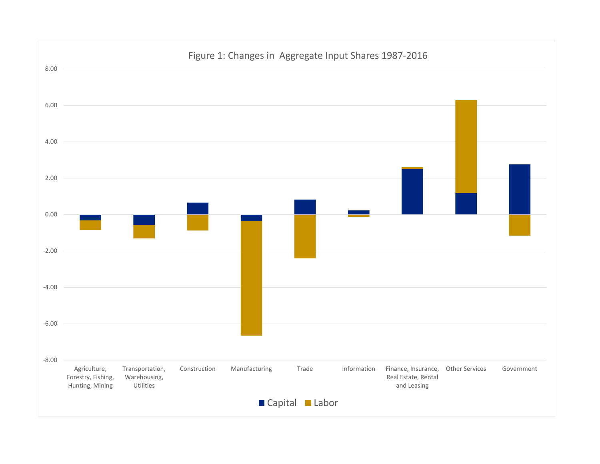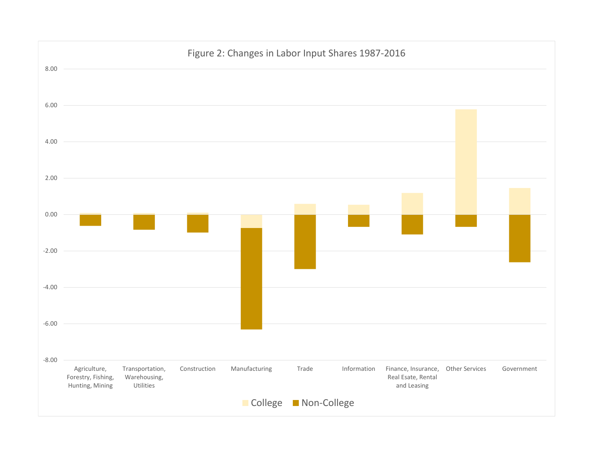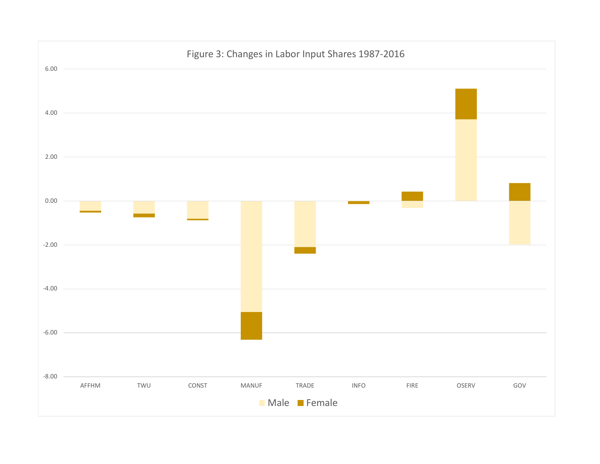